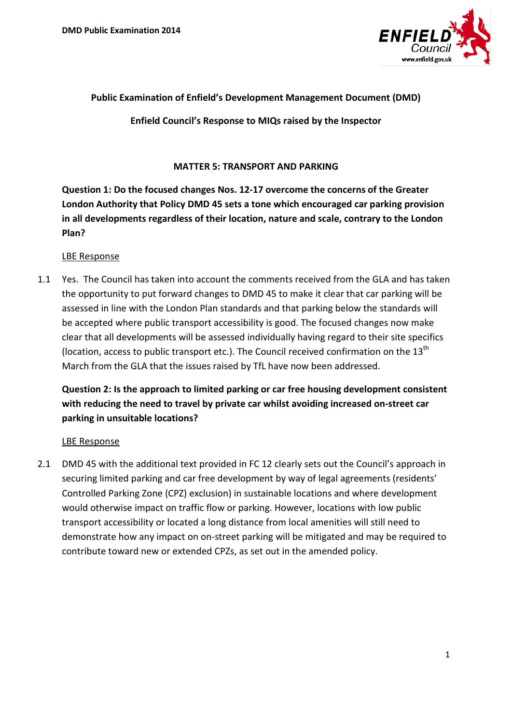

### **Public Examination of Enfield's Development Management Document (DMD)**

**Enfield Council's Response to MIQs raised by the Inspector** 

#### **MATTER 5: TRANSPORT AND PARKING**

**Question 1: Do the focused changes Nos. 12-17 overcome the concerns of the Greater London Authority that Policy DMD 45 sets a tone which encouraged car parking provision in all developments regardless of their location, nature and scale, contrary to the London Plan?**

#### LBE Response

1.1 Yes. The Council has taken into account the comments received from the GLA and has taken the opportunity to put forward changes to DMD 45 to make it clear that car parking will be assessed in line with the London Plan standards and that parking below the standards will be accepted where public transport accessibility is good. The focused changes now make clear that all developments will be assessed individually having regard to their site specifics (location, access to public transport etc.). The Council received confirmation on the  $13<sup>th</sup>$ March from the GLA that the issues raised by TfL have now been addressed.

## **Question 2: Is the approach to limited parking or car free housing development consistent with reducing the need to travel by private car whilst avoiding increased on-street car parking in unsuitable locations?**

### LBE Response

2.1 DMD 45 with the additional text provided in FC 12 clearly sets out the Council's approach in securing limited parking and car free development by way of legal agreements (residents' Controlled Parking Zone (CPZ) exclusion) in sustainable locations and where development would otherwise impact on traffic flow or parking. However, locations with low public transport accessibility or located a long distance from local amenities will still need to demonstrate how any impact on on-street parking will be mitigated and may be required to contribute toward new or extended CPZs, as set out in the amended policy.